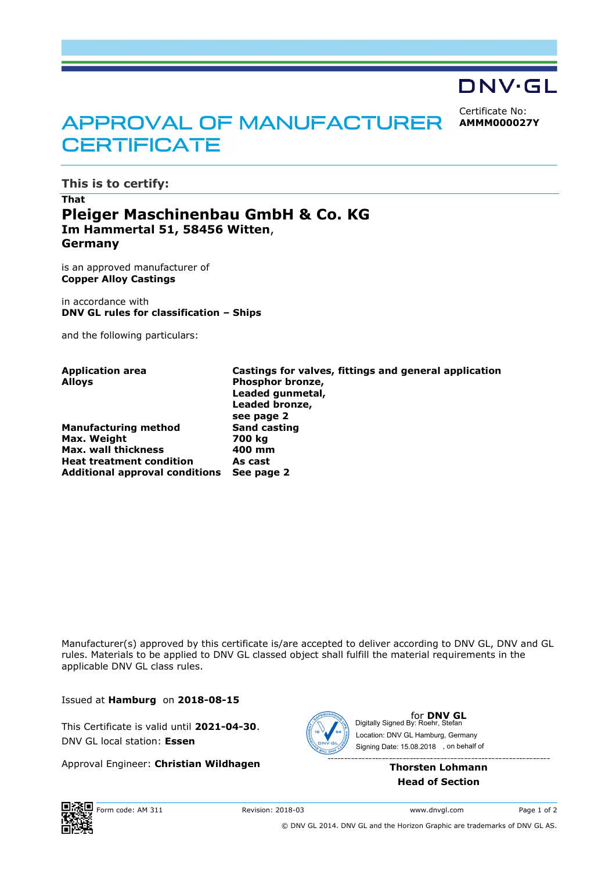

Certificate No: **AMMM000027Y**

# APPROVAL OF MANUFACTURER **CERTIFICATE**

**This is to certify:**

## **That Pleiger Maschinenbau GmbH & Co. KG Im Hammertal 51, 58456 Witten**, **Germany**

is an approved manufacturer of **Copper Alloy Castings**

in accordance with **DNV GL rules for classification – Ships**

and the following particulars:

| <b>Application area</b><br>Alloys     | Castings for valves, fittings and general application<br>Phosphor bronze,<br>Leaded gunmetal,<br>Leaded bronze, |
|---------------------------------------|-----------------------------------------------------------------------------------------------------------------|
| <b>Manufacturing method</b>           | see page 2<br><b>Sand casting</b>                                                                               |
| Max. Weight                           | 700 kg                                                                                                          |
| <b>Max. wall thickness</b>            | 400 mm                                                                                                          |
| <b>Heat treatment condition</b>       | As cast                                                                                                         |
| <b>Additional approval conditions</b> | See page 2                                                                                                      |

Manufacturer(s) approved by this certificate is/are accepted to deliver according to DNV GL, DNV and GL rules. Materials to be applied to DNV GL classed object shall fulfill the material requirements in the applicable DNV GL class rules.

Issued at **Hamburg** on **2018-08-15**

This Certificate is valid until **2021-04-30**. DNV GL local station: **Essen**

Approval Engineer: **Christian Wildhagen**



**for DNV GL**<br>Digitally Signed By: Roehr, Stefan Signing Date: 15.08.2018 , on behalf ofLocation: DNV GL Hamburg, Germany

> **Thorsten Lohmann Head of Section**



© DNV GL 2014. DNV GL and the Horizon Graphic are trademarks of DNV GL AS.